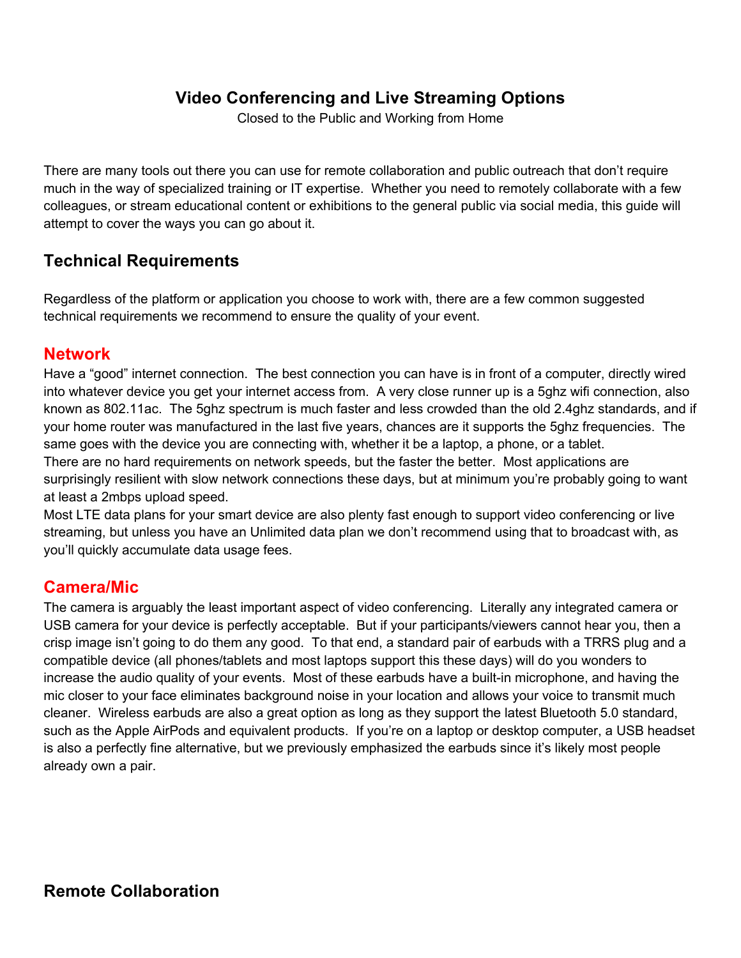## **Video Conferencing and Live Streaming Options**

Closed to the Public and Working from Home

There are many tools out there you can use for remote collaboration and public outreach that don't require much in the way of specialized training or IT expertise. Whether you need to remotely collaborate with a few colleagues, or stream educational content or exhibitions to the general public via social media, this guide will attempt to cover the ways you can go about it.

# **Technical Requirements**

Regardless of the platform or application you choose to work with, there are a few common suggested technical requirements we recommend to ensure the quality of your event.

## **Network**

Have a "good" internet connection. The best connection you can have is in front of a computer, directly wired into whatever device you get your internet access from. A very close runner up is a 5ghz wifi connection, also known as 802.11ac. The 5ghz spectrum is much faster and less crowded than the old 2.4ghz standards, and if your home router was manufactured in the last five years, chances are it supports the 5ghz frequencies. The same goes with the device you are connecting with, whether it be a laptop, a phone, or a tablet. There are no hard requirements on network speeds, but the faster the better. Most applications are surprisingly resilient with slow network connections these days, but at minimum you're probably going to want at least a 2mbps upload speed.

Most LTE data plans for your smart device are also plenty fast enough to support video conferencing or live streaming, but unless you have an Unlimited data plan we don't recommend using that to broadcast with, as you'll quickly accumulate data usage fees.

# **Camera/Mic**

The camera is arguably the least important aspect of video conferencing. Literally any integrated camera or USB camera for your device is perfectly acceptable. But if your participants/viewers cannot hear you, then a crisp image isn't going to do them any good. To that end, a standard pair of earbuds with a TRRS plug and a compatible device (all phones/tablets and most laptops support this these days) will do you wonders to increase the audio quality of your events. Most of these earbuds have a built-in microphone, and having the mic closer to your face eliminates background noise in your location and allows your voice to transmit much cleaner. Wireless earbuds are also a great option as long as they support the latest Bluetooth 5.0 standard, such as the Apple AirPods and equivalent products. If you're on a laptop or desktop computer, a USB headset is also a perfectly fine alternative, but we previously emphasized the earbuds since it's likely most people already own a pair.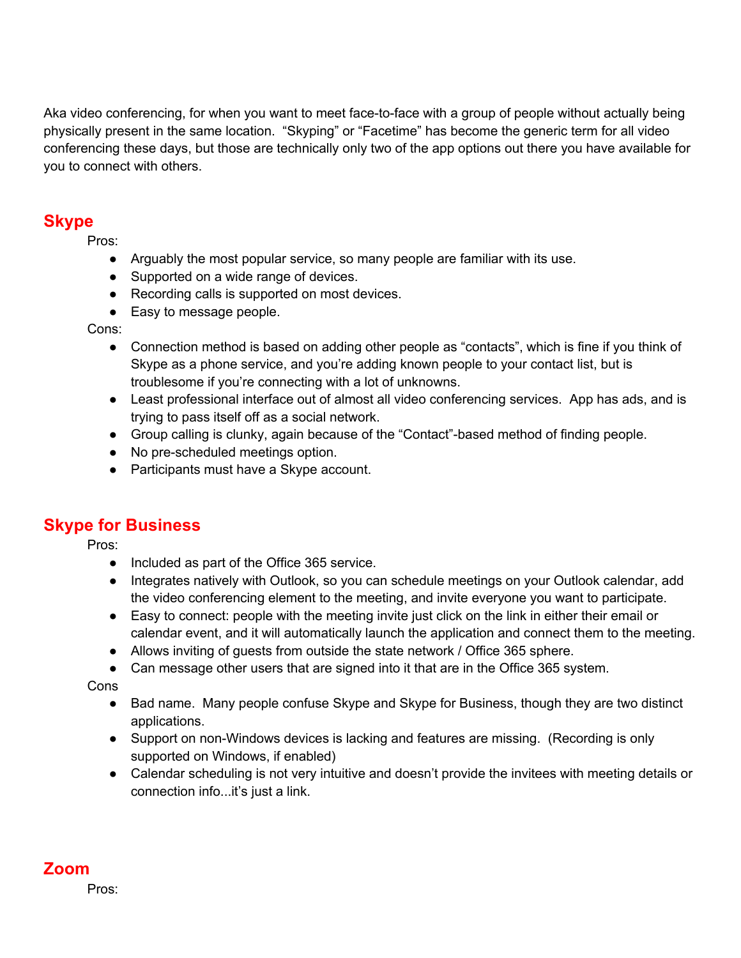Aka video conferencing, for when you want to meet face-to-face with a group of people without actually being physically present in the same location. "Skyping" or "Facetime" has become the generic term for all video conferencing these days, but those are technically only two of the app options out there you have available for you to connect with others.

# **Skype**

Pros:

- Arguably the most popular service, so many people are familiar with its use.
- Supported on a wide range of devices.
- Recording calls is supported on most devices.
- Easy to message people.

Cons:

- Connection method is based on adding other people as "contacts", which is fine if you think of Skype as a phone service, and you're adding known people to your contact list, but is troublesome if you're connecting with a lot of unknowns.
- Least professional interface out of almost all video conferencing services. App has ads, and is trying to pass itself off as a social network.
- Group calling is clunky, again because of the "Contact"-based method of finding people.
- No pre-scheduled meetings option.
- Participants must have a Skype account.

## **Skype for Business**

Pros:

- Included as part of the Office 365 service.
- Integrates natively with Outlook, so you can schedule meetings on your Outlook calendar, add the video conferencing element to the meeting, and invite everyone you want to participate.
- Easy to connect: people with the meeting invite just click on the link in either their email or calendar event, and it will automatically launch the application and connect them to the meeting.
- Allows inviting of guests from outside the state network / Office 365 sphere.
- Can message other users that are signed into it that are in the Office 365 system.

Cons

- Bad name. Many people confuse Skype and Skype for Business, though they are two distinct applications.
- Support on non-Windows devices is lacking and features are missing. (Recording is only supported on Windows, if enabled)
- Calendar scheduling is not very intuitive and doesn't provide the invitees with meeting details or connection info...it's just a link.

### **Zoom**

Pros: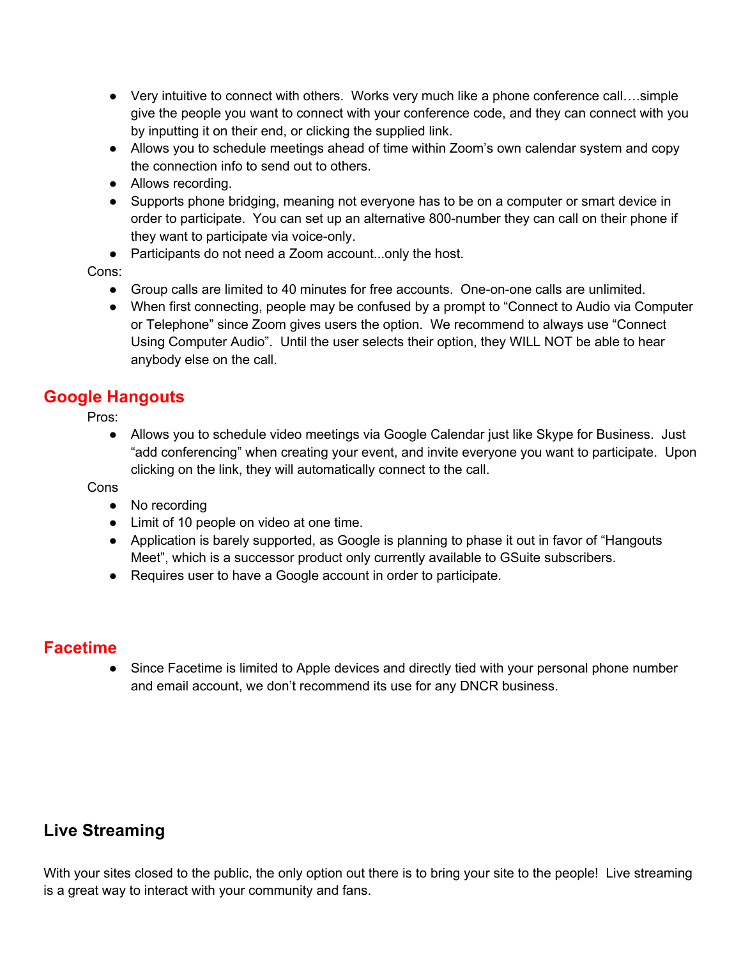- Very intuitive to connect with others. Works very much like a phone conference call….simple give the people you want to connect with your conference code, and they can connect with you by inputting it on their end, or clicking the supplied link.
- Allows you to schedule meetings ahead of time within Zoom's own calendar system and copy the connection info to send out to others.
- Allows recording.
- Supports phone bridging, meaning not everyone has to be on a computer or smart device in order to participate. You can set up an alternative 800-number they can call on their phone if they want to participate via voice-only.
- Participants do not need a Zoom account...only the host.

Cons:

- Group calls are limited to 40 minutes for free accounts. One-on-one calls are unlimited.
- When first connecting, people may be confused by a prompt to "Connect to Audio via Computer or Telephone" since Zoom gives users the option. We recommend to always use "Connect Using Computer Audio". Until the user selects their option, they WILL NOT be able to hear anybody else on the call.

### **Google Hangouts**

Pros:

● Allows you to schedule video meetings via Google Calendar just like Skype for Business. Just "add conferencing" when creating your event, and invite everyone you want to participate. Upon clicking on the link, they will automatically connect to the call.

Cons

- No recording
- Limit of 10 people on video at one time.
- Application is barely supported, as Google is planning to phase it out in favor of "Hangouts" Meet", which is a successor product only currently available to GSuite subscribers.
- Requires user to have a Google account in order to participate.

### **Facetime**

• Since Facetime is limited to Apple devices and directly tied with your personal phone number and email account, we don't recommend its use for any DNCR business.

## **Live Streaming**

With your sites closed to the public, the only option out there is to bring your site to the people! Live streaming is a great way to interact with your community and fans.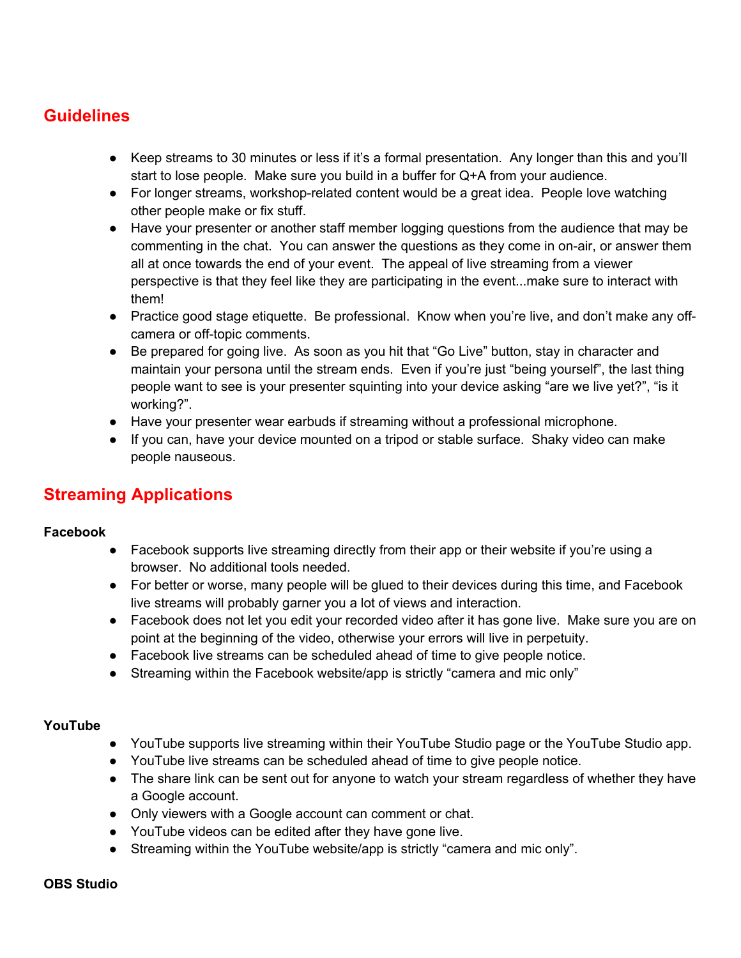# **Guidelines**

- Keep streams to 30 minutes or less if it's a formal presentation. Any longer than this and you'll start to lose people. Make sure you build in a buffer for Q+A from your audience.
- For longer streams, workshop-related content would be a great idea. People love watching other people make or fix stuff.
- Have your presenter or another staff member logging questions from the audience that may be commenting in the chat. You can answer the questions as they come in on-air, or answer them all at once towards the end of your event. The appeal of live streaming from a viewer perspective is that they feel like they are participating in the event...make sure to interact with them!
- Practice good stage etiquette. Be professional. Know when you're live, and don't make any offcamera or off-topic comments.
- Be prepared for going live. As soon as you hit that "Go Live" button, stay in character and maintain your persona until the stream ends. Even if you're just "being yourself", the last thing people want to see is your presenter squinting into your device asking "are we live yet?", "is it working?".
- Have your presenter wear earbuds if streaming without a professional microphone.
- If you can, have your device mounted on a tripod or stable surface. Shaky video can make people nauseous.

# **Streaming Applications**

#### **Facebook**

- Facebook supports live streaming directly from their app or their website if you're using a browser. No additional tools needed.
- For better or worse, many people will be glued to their devices during this time, and Facebook live streams will probably garner you a lot of views and interaction.
- Facebook does not let you edit your recorded video after it has gone live. Make sure you are on point at the beginning of the video, otherwise your errors will live in perpetuity.
- Facebook live streams can be scheduled ahead of time to give people notice.
- Streaming within the Facebook website/app is strictly "camera and mic only"

#### **YouTube**

- YouTube supports live streaming within their YouTube Studio page or the YouTube Studio app.
- YouTube live streams can be scheduled ahead of time to give people notice.
- The share link can be sent out for anyone to watch your stream regardless of whether they have a Google account.
- Only viewers with a Google account can comment or chat.
- YouTube videos can be edited after they have gone live.
- Streaming within the YouTube website/app is strictly "camera and mic only".